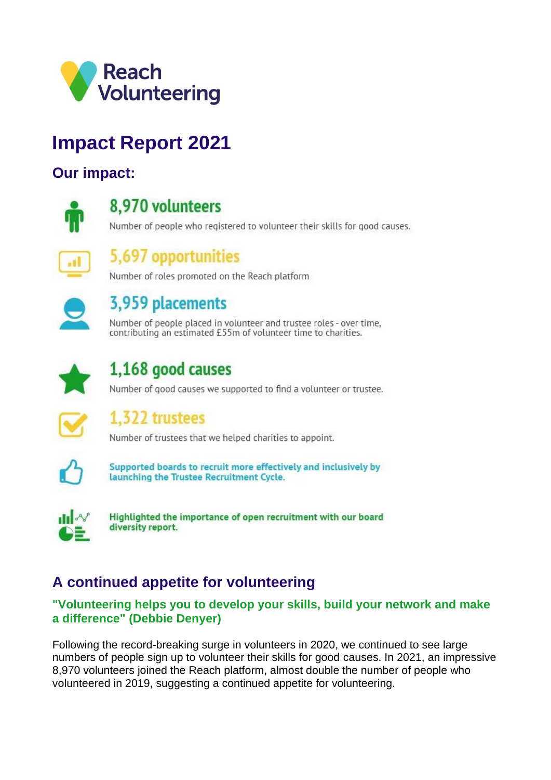

# **Impact Report 2021**

### **Our impact:**



### 8,970 volunteers

Number of people who registered to volunteer their skills for good causes.

## 5,697 opportunities

Number of roles promoted on the Reach platform



## 3,959 placements

Number of people placed in volunteer and trustee roles - over time, contributing an estimated £55m of volunteer time to charities.



## 1,168 good causes

Number of good causes we supported to find a volunteer or trustee.



## 1,322 trustees

Number of trustees that we helped charities to appoint.



Supported boards to recruit more effectively and inclusively by launching the Trustee Recruitment Cycle.



Highlighted the importance of open recruitment with our board diversity report.

## **A continued appetite for volunteering**

#### **"Volunteering helps you to develop your skills, build your network and make a difference" (Debbie Denyer)**

Following the record-breaking surge in volunteers in 2020, we continued to see large numbers of people sign up to volunteer their skills for good causes. In 2021, an impressive 8,970 volunteers joined the Reach platform, almost double the number of people who volunteered in 2019, suggesting a continued appetite for volunteering.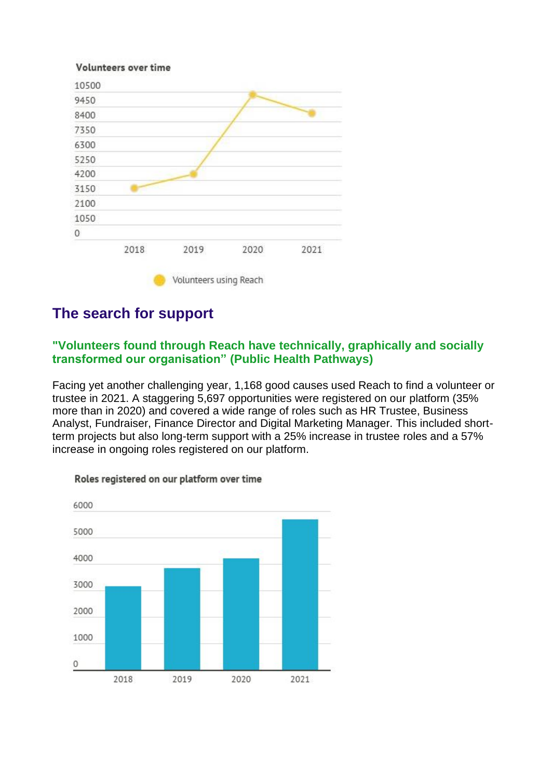

## **The search for support**

#### **"Volunteers found through Reach have technically, graphically and socially transformed our organisation" (Public Health Pathways)**

Facing yet another challenging year, 1,168 good causes used Reach to find a volunteer or trustee in 2021. A staggering 5,697 opportunities were registered on our platform (35% more than in 2020) and covered a wide range of roles such as HR Trustee, Business Analyst, Fundraiser, Finance Director and Digital Marketing Manager. This included shortterm projects but also long-term support with a 25% increase in trustee roles and a 57% increase in ongoing roles registered on our platform.



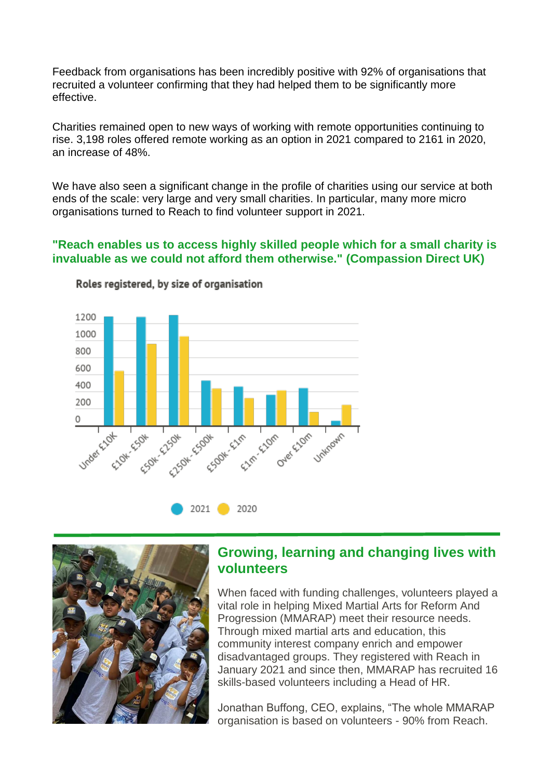Feedback from organisations has been incredibly positive with 92% of organisations that recruited a volunteer confirming that they had helped them to be significantly more effective.

Charities remained open to new ways of working with remote opportunities continuing to rise. 3,198 roles offered remote working as an option in 2021 compared to 2161 in 2020, an increase of 48%.

We have also seen a significant change in the profile of charities using our service at both ends of the scale: very large and very small charities. In particular, many more micro organisations turned to Reach to find volunteer support in 2021.

#### **"Reach enables us to access highly skilled people which for a small charity is invaluable as we could not afford them otherwise." (Compassion Direct UK)**



Roles registered, by size of organisation



### **Growing, learning and changing lives with volunteers**

When faced with funding challenges, volunteers played a vital role in helping Mixed Martial Arts for Reform And Progression (MMARAP) meet their resource needs. Through mixed martial arts and education, this community interest company enrich and empower disadvantaged groups. They registered with Reach in January 2021 and since then, MMARAP has recruited 16 skills-based volunteers including a Head of HR.

Jonathan Buffong, CEO, explains, "The whole MMARAP organisation is based on volunteers - 90% from Reach.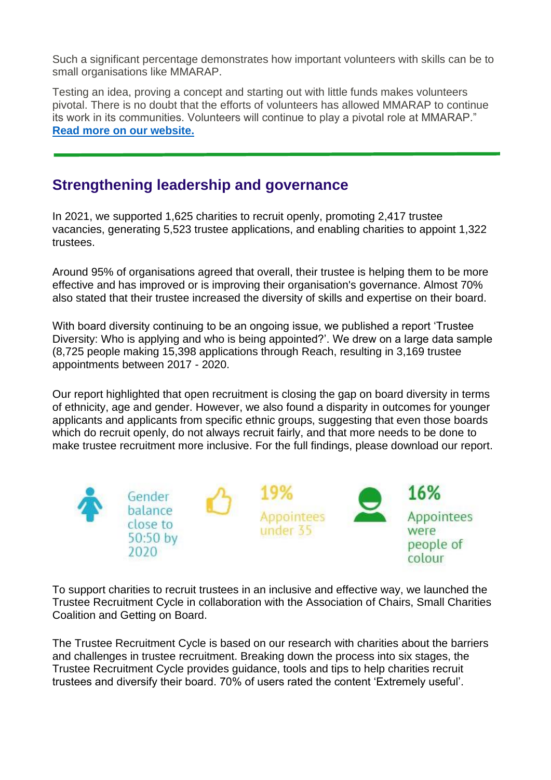Such a significant percentage demonstrates how important volunteers with skills can be to small organisations like MMARAP.

Testing an idea, proving a concept and starting out with little funds makes volunteers pivotal. There is no doubt that the efforts of volunteers has allowed MMARAP to continue its work in its communities. Volunteers will continue to play a pivotal role at MMARAP." **[Read more on our website.](https://reachvolunteering.org.uk/story/growing-learning-and-changing-lives-volunteers)**

## **Strengthening leadership and governance**

In 2021, we supported 1,625 charities to recruit openly, promoting 2,417 trustee vacancies, generating 5,523 trustee applications, and enabling charities to appoint 1,322 trustees.

Around 95% of organisations agreed that overall, their trustee is helping them to be more effective and has improved or is improving their organisation's governance. Almost 70% also stated that their trustee increased the diversity of skills and expertise on their board.

With board diversity continuing to be an ongoing issue, we published a report 'Trustee Diversity: Who is applying and who is being appointed?'. We drew on a large data sample (8,725 people making 15,398 applications through Reach, resulting in 3,169 trustee appointments between 2017 - 2020.

Our report highlighted that open recruitment is closing the gap on board diversity in terms of ethnicity, age and gender. However, we also found a disparity in outcomes for younger applicants and applicants from specific ethnic groups, suggesting that even those boards which do recruit openly, do not always recruit fairly, and that more needs to be done to make trustee recruitment more inclusive. For the full findings, please download our report.



To support charities to recruit trustees in an inclusive and effective way, we launched the Trustee Recruitment Cycle in collaboration with the Association of Chairs, Small Charities Coalition and Getting on Board.

The Trustee Recruitment Cycle is based on our research with charities about the barriers and challenges in trustee recruitment. Breaking down the process into six stages, the Trustee Recruitment Cycle provides guidance, tools and tips to help charities recruit trustees and diversify their board. 70% of users rated the content 'Extremely useful'.